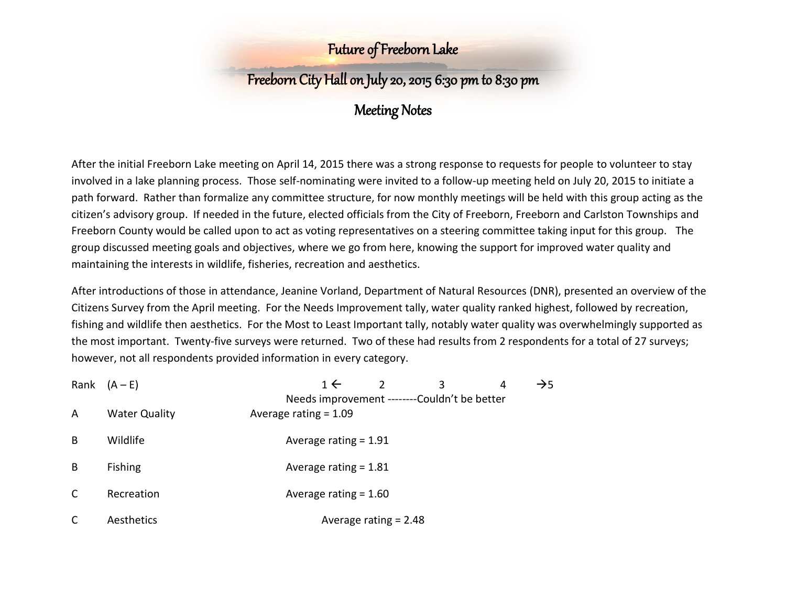# Freeborn City Hall on July 20, 2015 6:30 pm to 8:30 pm

### Meeting Notes

After the initial Freeborn Lake meeting on April 14, 2015 there was a strong response to requests for people to volunteer to stay involved in a lake planning process. Those self-nominating were invited to a follow-up meeting held on July 20, 2015 to initiate a path forward. Rather than formalize any committee structure, for now monthly meetings will be held with this group acting as the citizen's advisory group. If needed in the future, elected officials from the City of Freeborn, Freeborn and Carlston Townships and Freeborn County would be called upon to act as voting representatives on a steering committee taking input for this group. The group discussed meeting goals and objectives, where we go from here, knowing the support for improved water quality and maintaining the interests in wildlife, fisheries, recreation and aesthetics.

After introductions of those in attendance, Jeanine Vorland, Department of Natural Resources (DNR), presented an overview of the Citizens Survey from the April meeting. For the Needs Improvement tally, water quality ranked highest, followed by recreation, fishing and wildlife then aesthetics. For the Most to Least Important tally, notably water quality was overwhelmingly supported as the most important. Twenty-five surveys were returned. Two of these had results from 2 respondents for a total of 27 surveys; however, not all respondents provided information in every category.

|   | Rank $(A - E)$       | 1 $\leftarrow$<br>3                                                    | 4 | $\rightarrow$ 5 |
|---|----------------------|------------------------------------------------------------------------|---|-----------------|
| A | <b>Water Quality</b> | Needs improvement -------Couldn't be better<br>Average rating $= 1.09$ |   |                 |
| B | Wildlife             | Average rating $= 1.91$                                                |   |                 |
| B | <b>Fishing</b>       | Average rating $= 1.81$                                                |   |                 |
|   | Recreation           | Average rating $= 1.60$                                                |   |                 |
|   | Aesthetics           | Average rating $= 2.48$                                                |   |                 |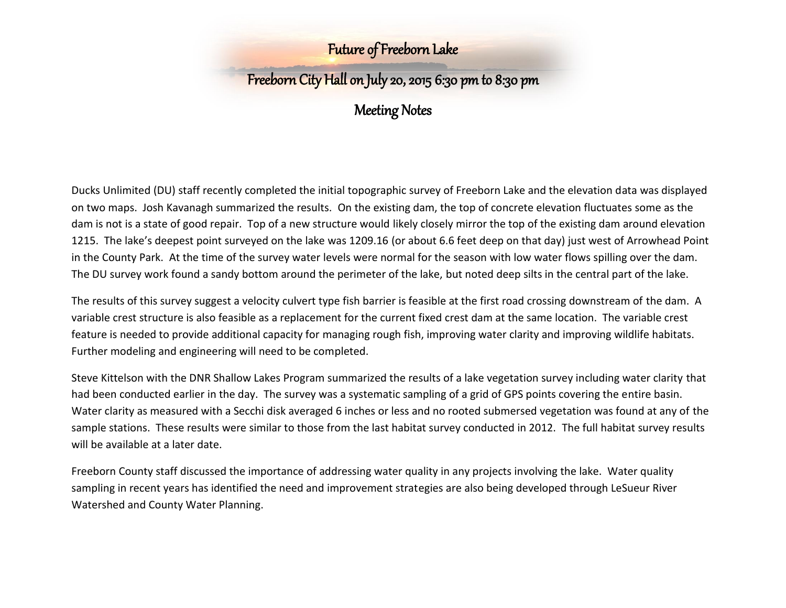## Freeborn City Hall on July 20, 2015 6:30 pm to 8:30 pm

## Meeting Notes

Ducks Unlimited (DU) staff recently completed the initial topographic survey of Freeborn Lake and the elevation data was displayed on two maps. Josh Kavanagh summarized the results. On the existing dam, the top of concrete elevation fluctuates some as the dam is not is a state of good repair. Top of a new structure would likely closely mirror the top of the existing dam around elevation 1215. The lake's deepest point surveyed on the lake was 1209.16 (or about 6.6 feet deep on that day) just west of Arrowhead Point in the County Park. At the time of the survey water levels were normal for the season with low water flows spilling over the dam. The DU survey work found a sandy bottom around the perimeter of the lake, but noted deep silts in the central part of the lake.

The results of this survey suggest a velocity culvert type fish barrier is feasible at the first road crossing downstream of the dam. A variable crest structure is also feasible as a replacement for the current fixed crest dam at the same location. The variable crest feature is needed to provide additional capacity for managing rough fish, improving water clarity and improving wildlife habitats. Further modeling and engineering will need to be completed.

Steve Kittelson with the DNR Shallow Lakes Program summarized the results of a lake vegetation survey including water clarity that had been conducted earlier in the day. The survey was a systematic sampling of a grid of GPS points covering the entire basin. Water clarity as measured with a Secchi disk averaged 6 inches or less and no rooted submersed vegetation was found at any of the sample stations. These results were similar to those from the last habitat survey conducted in 2012. The full habitat survey results will be available at a later date.

Freeborn County staff discussed the importance of addressing water quality in any projects involving the lake. Water quality sampling in recent years has identified the need and improvement strategies are also being developed through LeSueur River Watershed and County Water Planning.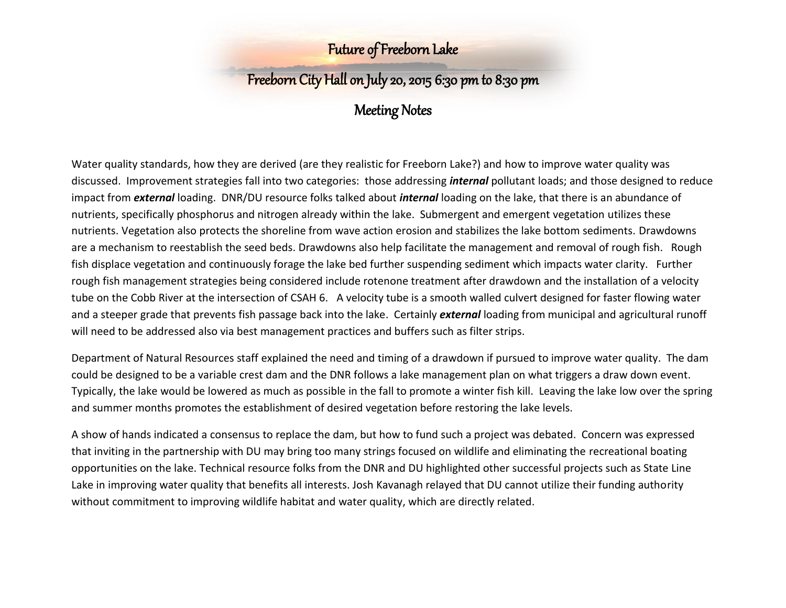# Freeborn City Hall on July 20, 2015 6:30 pm to 8:30 pm

## Meeting Notes

Water quality standards, how they are derived (are they realistic for Freeborn Lake?) and how to improve water quality was discussed. Improvement strategies fall into two categories: those addressing *internal* pollutant loads; and those designed to reduce impact from *external* loading. DNR/DU resource folks talked about *internal* loading on the lake, that there is an abundance of nutrients, specifically phosphorus and nitrogen already within the lake. Submergent and emergent vegetation utilizes these nutrients. Vegetation also protects the shoreline from wave action erosion and stabilizes the lake bottom sediments. Drawdowns are a mechanism to reestablish the seed beds. Drawdowns also help facilitate the management and removal of rough fish. Rough fish displace vegetation and continuously forage the lake bed further suspending sediment which impacts water clarity. Further rough fish management strategies being considered include rotenone treatment after drawdown and the installation of a velocity tube on the Cobb River at the intersection of CSAH 6. A velocity tube is a smooth walled culvert designed for faster flowing water and a steeper grade that prevents fish passage back into the lake. Certainly *external* loading from municipal and agricultural runoff will need to be addressed also via best management practices and buffers such as filter strips.

Department of Natural Resources staff explained the need and timing of a drawdown if pursued to improve water quality. The dam could be designed to be a variable crest dam and the DNR follows a lake management plan on what triggers a draw down event. Typically, the lake would be lowered as much as possible in the fall to promote a winter fish kill. Leaving the lake low over the spring and summer months promotes the establishment of desired vegetation before restoring the lake levels.

A show of hands indicated a consensus to replace the dam, but how to fund such a project was debated. Concern was expressed that inviting in the partnership with DU may bring too many strings focused on wildlife and eliminating the recreational boating opportunities on the lake. Technical resource folks from the DNR and DU highlighted other successful projects such as State Line Lake in improving water quality that benefits all interests. Josh Kavanagh relayed that DU cannot utilize their funding authority without commitment to improving wildlife habitat and water quality, which are directly related.